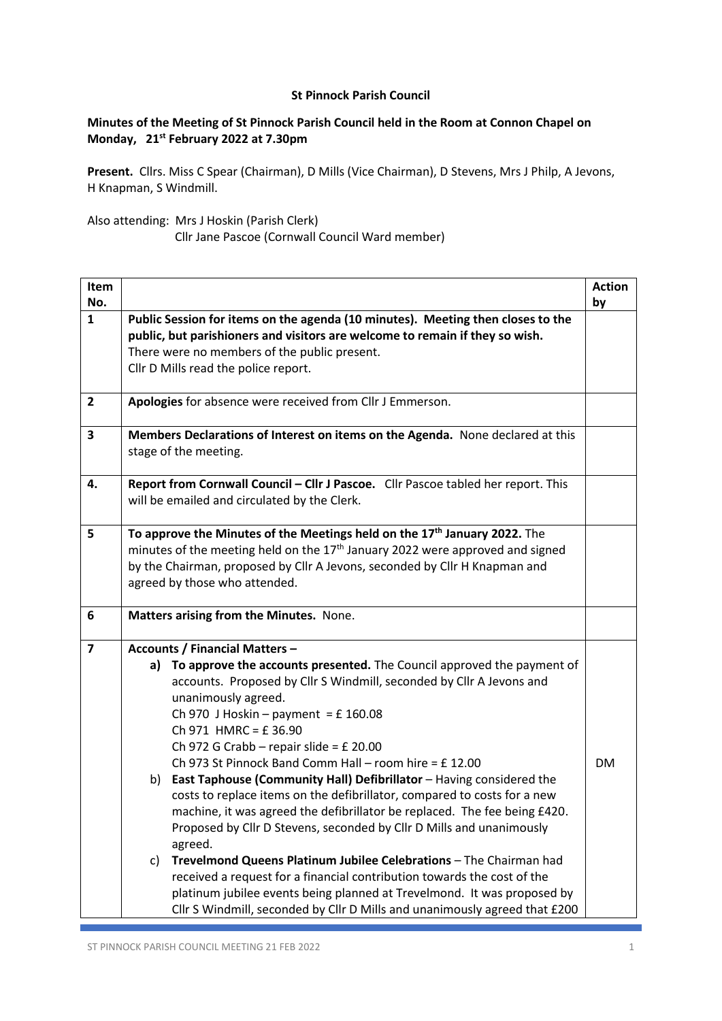## **St Pinnock Parish Council**

## **Minutes of the Meeting of St Pinnock Parish Council held in the Room at Connon Chapel on Monday, 21st February 2022 at 7.30pm**

**Present.** Cllrs. Miss C Spear (Chairman), D Mills (Vice Chairman), D Stevens, Mrs J Philp, A Jevons, H Knapman, S Windmill.

Also attending: Mrs J Hoskin (Parish Clerk)

Cllr Jane Pascoe (Cornwall Council Ward member)

| Item<br>No.    |                                                                                                                                                                                                                                                                                                                                                                                                                                                                                                                                                                                                                                                                                                                                                                                                                                                                          | <b>Action</b><br>by |
|----------------|--------------------------------------------------------------------------------------------------------------------------------------------------------------------------------------------------------------------------------------------------------------------------------------------------------------------------------------------------------------------------------------------------------------------------------------------------------------------------------------------------------------------------------------------------------------------------------------------------------------------------------------------------------------------------------------------------------------------------------------------------------------------------------------------------------------------------------------------------------------------------|---------------------|
| $\mathbf{1}$   | Public Session for items on the agenda (10 minutes). Meeting then closes to the<br>public, but parishioners and visitors are welcome to remain if they so wish.<br>There were no members of the public present.<br>Cllr D Mills read the police report.                                                                                                                                                                                                                                                                                                                                                                                                                                                                                                                                                                                                                  |                     |
| $\overline{2}$ | Apologies for absence were received from Cllr J Emmerson.                                                                                                                                                                                                                                                                                                                                                                                                                                                                                                                                                                                                                                                                                                                                                                                                                |                     |
| 3              | Members Declarations of Interest on items on the Agenda. None declared at this<br>stage of the meeting.                                                                                                                                                                                                                                                                                                                                                                                                                                                                                                                                                                                                                                                                                                                                                                  |                     |
| 4.             | Report from Cornwall Council - Cllr J Pascoe. Cllr Pascoe tabled her report. This<br>will be emailed and circulated by the Clerk.                                                                                                                                                                                                                                                                                                                                                                                                                                                                                                                                                                                                                                                                                                                                        |                     |
| 5              | To approve the Minutes of the Meetings held on the 17 <sup>th</sup> January 2022. The<br>minutes of the meeting held on the 17 <sup>th</sup> January 2022 were approved and signed<br>by the Chairman, proposed by Cllr A Jevons, seconded by Cllr H Knapman and<br>agreed by those who attended.                                                                                                                                                                                                                                                                                                                                                                                                                                                                                                                                                                        |                     |
| 6              | Matters arising from the Minutes. None.                                                                                                                                                                                                                                                                                                                                                                                                                                                                                                                                                                                                                                                                                                                                                                                                                                  |                     |
| $\overline{7}$ | <b>Accounts / Financial Matters -</b><br>To approve the accounts presented. The Council approved the payment of<br>a)<br>accounts. Proposed by Cllr S Windmill, seconded by Cllr A Jevons and<br>unanimously agreed.<br>Ch 970 J Hoskin - payment = £160.08<br>Ch 971 HMRC = £36.90<br>Ch 972 G Crabb - repair slide = £ 20.00<br>Ch 973 St Pinnock Band Comm Hall - room hire = £12.00<br>East Taphouse (Community Hall) Defibrillator - Having considered the<br>b)<br>costs to replace items on the defibrillator, compared to costs for a new<br>machine, it was agreed the defibrillator be replaced. The fee being £420.<br>Proposed by Cllr D Stevens, seconded by Cllr D Mills and unanimously<br>agreed.<br>Trevelmond Queens Platinum Jubilee Celebrations - The Chairman had<br>C)<br>received a request for a financial contribution towards the cost of the | <b>DM</b>           |
|                | platinum jubilee events being planned at Trevelmond. It was proposed by<br>Cllr S Windmill, seconded by Cllr D Mills and unanimously agreed that £200                                                                                                                                                                                                                                                                                                                                                                                                                                                                                                                                                                                                                                                                                                                    |                     |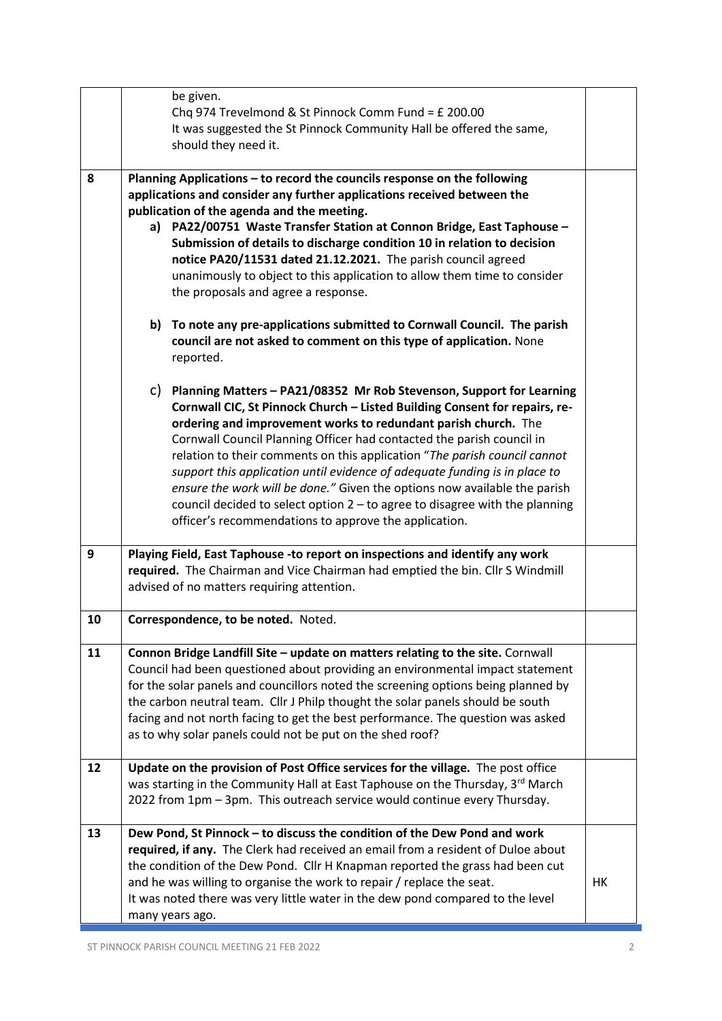|    | be given.<br>Chq 974 Trevelmond & St Pinnock Comm Fund = £ 200.00<br>It was suggested the St Pinnock Community Hall be offered the same,<br>should they need it.                                                                                                                                                                                                                                                                                                                                                                                                                                                                                                                   |    |
|----|------------------------------------------------------------------------------------------------------------------------------------------------------------------------------------------------------------------------------------------------------------------------------------------------------------------------------------------------------------------------------------------------------------------------------------------------------------------------------------------------------------------------------------------------------------------------------------------------------------------------------------------------------------------------------------|----|
| 8  | Planning Applications - to record the councils response on the following<br>applications and consider any further applications received between the<br>publication of the agenda and the meeting.<br>a) PA22/00751 Waste Transfer Station at Connon Bridge, East Taphouse -<br>Submission of details to discharge condition 10 in relation to decision<br>notice PA20/11531 dated 21.12.2021. The parish council agreed<br>unanimously to object to this application to allow them time to consider<br>the proposals and agree a response.<br>To note any pre-applications submitted to Cornwall Council. The parish<br>b)                                                         |    |
|    | council are not asked to comment on this type of application. None<br>reported.                                                                                                                                                                                                                                                                                                                                                                                                                                                                                                                                                                                                    |    |
|    | C) Planning Matters - PA21/08352 Mr Rob Stevenson, Support for Learning<br>Cornwall CIC, St Pinnock Church - Listed Building Consent for repairs, re-<br>ordering and improvement works to redundant parish church. The<br>Cornwall Council Planning Officer had contacted the parish council in<br>relation to their comments on this application "The parish council cannot<br>support this application until evidence of adequate funding is in place to<br>ensure the work will be done." Given the options now available the parish<br>council decided to select option $2$ – to agree to disagree with the planning<br>officer's recommendations to approve the application. |    |
| 9  | Playing Field, East Taphouse -to report on inspections and identify any work<br>required. The Chairman and Vice Chairman had emptied the bin. Cllr S Windmill<br>advised of no matters requiring attention.                                                                                                                                                                                                                                                                                                                                                                                                                                                                        |    |
| 10 | Correspondence, to be noted. Noted.                                                                                                                                                                                                                                                                                                                                                                                                                                                                                                                                                                                                                                                |    |
| 11 | Connon Bridge Landfill Site - update on matters relating to the site. Cornwall<br>Council had been questioned about providing an environmental impact statement<br>for the solar panels and councillors noted the screening options being planned by<br>the carbon neutral team. Cllr J Philp thought the solar panels should be south<br>facing and not north facing to get the best performance. The question was asked<br>as to why solar panels could not be put on the shed roof?                                                                                                                                                                                             |    |
| 12 | Update on the provision of Post Office services for the village. The post office<br>was starting in the Community Hall at East Taphouse on the Thursday, 3rd March<br>2022 from 1pm - 3pm. This outreach service would continue every Thursday.                                                                                                                                                                                                                                                                                                                                                                                                                                    |    |
| 13 | Dew Pond, St Pinnock - to discuss the condition of the Dew Pond and work<br>required, if any. The Clerk had received an email from a resident of Duloe about<br>the condition of the Dew Pond. Cllr H Knapman reported the grass had been cut<br>and he was willing to organise the work to repair / replace the seat.<br>It was noted there was very little water in the dew pond compared to the level<br>many years ago.                                                                                                                                                                                                                                                        | HK |